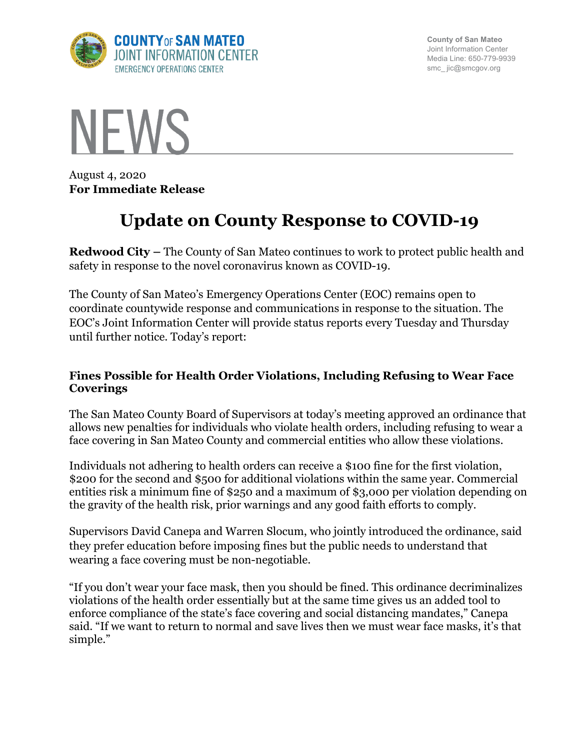

**County of San Mateo** Joint Information Center Media Line: 650-779-9939 smc\_ jic@smcgov.org



August 4, 2020 **For Immediate Release**

# **Update on County Response to COVID-19**

**Redwood City –** The County of San Mateo continues to work to protect public health and safety in response to the novel coronavirus known as COVID-19.

The County of San Mateo's Emergency Operations Center (EOC) remains open to coordinate countywide response and communications in response to the situation. The EOC's Joint Information Center will provide status reports every Tuesday and Thursday until further notice. Today's report:

#### **Fines Possible for Health Order Violations, Including Refusing to Wear Face Coverings**

The San Mateo County Board of Supervisors at today's meeting approved an ordinance that allows new penalties for individuals who violate health orders, including refusing to wear a face covering in San Mateo County and commercial entities who allow these violations.

Individuals not adhering to health orders can receive a \$100 fine for the first violation, \$200 for the second and \$500 for additional violations within the same year. Commercial entities risk a minimum fine of \$250 and a maximum of \$3,000 per violation depending on the gravity of the health risk, prior warnings and any good faith efforts to comply.

Supervisors David Canepa and Warren Slocum, who jointly introduced the ordinance, said they prefer education before imposing fines but the public needs to understand that wearing a face covering must be non-negotiable.

"If you don't wear your face mask, then you should be fined. This ordinance decriminalizes violations of the health order essentially but at the same time gives us an added tool to enforce compliance of the state's face covering and social distancing mandates," Canepa said. "If we want to return to normal and save lives then we must wear face masks, it's that simple."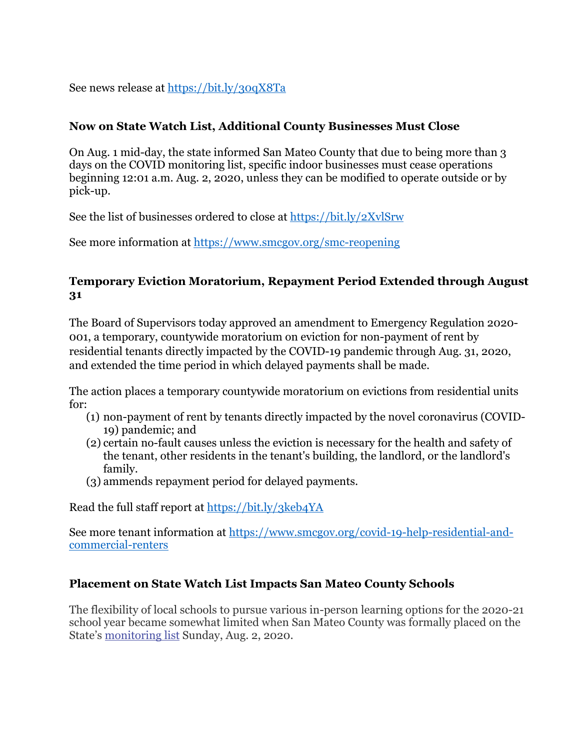See news release at https://bit.ly/30qX8Ta

### **Now on State Watch List, Additional County Businesses Must Close**

On Aug. 1 mid-day, the state informed San Mateo County that due to being more than 3 days on the COVID monitoring list, specific indoor businesses must cease operations beginning 12:01 a.m. Aug. 2, 2020, unless they can be modified to operate outside or by pick-up.

See the list of businesses ordered to close at https://bit.ly/2XvlSrw

See more information at https://www.smcgov.org/smc-reopening

#### **Temporary Eviction Moratorium, Repayment Period Extended through August 31**

The Board of Supervisors today approved an amendment to Emergency Regulation 2020- 001, a temporary, countywide moratorium on eviction for non-payment of rent by residential tenants directly impacted by the COVID-19 pandemic through Aug. 31, 2020, and extended the time period in which delayed payments shall be made.

The action places a temporary countywide moratorium on evictions from residential units for:

- (1) non-payment of rent by tenants directly impacted by the novel coronavirus (COVID-19) pandemic; and
- (2) certain no-fault causes unless the eviction is necessary for the health and safety of the tenant, other residents in the tenant's building, the landlord, or the landlord's family.
- (3) ammends repayment period for delayed payments.

Read the full staff report at https://bit.ly/3keb4YA

See more tenant information at https://www.smcgov.org/covid-19-help-residential-andcommercial-renters

# **Placement on State Watch List Impacts San Mateo County Schools**

The flexibility of local schools to pursue various in-person learning options for the 2020-21 school year became somewhat limited when San Mateo County was formally placed on the State's monitoring list Sunday, Aug. 2, 2020.